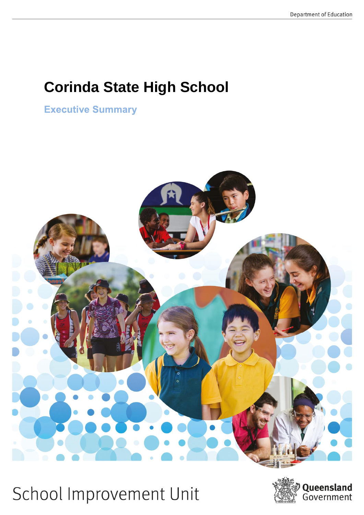# **Corinda State High School**

**Executive Summary** 



School Improvement Unit

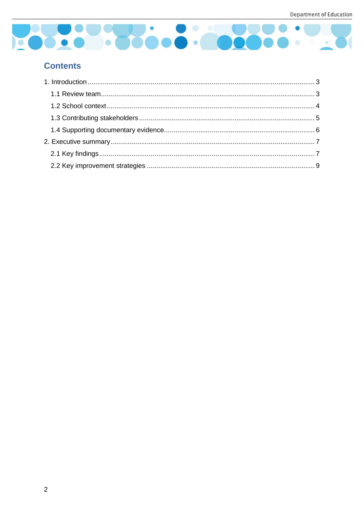

# **Contents**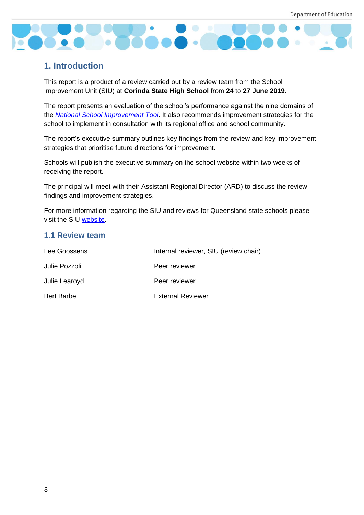

# <span id="page-2-0"></span>**1. Introduction**

This report is a product of a review carried out by a review team from the School Improvement Unit (SIU) at **Corinda State High School** from **24** to **27 June 2019**.

The report presents an evaluation of the school's performance against the nine domains of the *[National School Improvement Tool](https://schoolreviews.eq.edu.au/SiteCollectionDocuments/national-school-improve-tool.pdf)*. It also recommends improvement strategies for the school to implement in consultation with its regional office and school community.

The report's executive summary outlines key findings from the review and key improvement strategies that prioritise future directions for improvement.

Schools will publish the executive summary on the school website within two weeks of receiving the report.

The principal will meet with their Assistant Regional Director (ARD) to discuss the review findings and improvement strategies.

For more information regarding the SIU and reviews for Queensland state schools please visit the SIU [website.](https://schoolreviews.eq.edu.au/Pages/default.aspx)

#### <span id="page-2-1"></span>**1.1 Review team**

| Lee Goossens      | Internal reviewer, SIU (review chair) |
|-------------------|---------------------------------------|
| Julie Pozzoli     | Peer reviewer                         |
| Julie Learoyd     | Peer reviewer                         |
| <b>Bert Barbe</b> | <b>External Reviewer</b>              |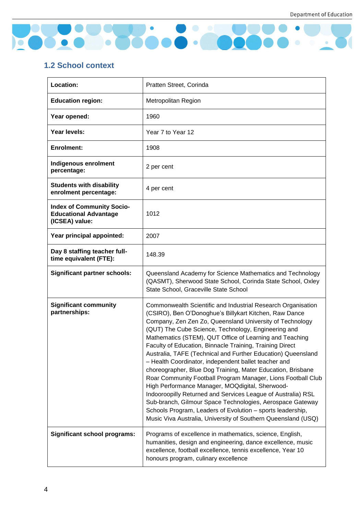

# <span id="page-3-0"></span>**1.2 School context**

| Location:                                                                          | Pratten Street, Corinda                                                                                                                                                                                                                                                                                                                                                                                                                                                                                                                                                                                                                                                                                                                                                                                                                                                                                                                |  |
|------------------------------------------------------------------------------------|----------------------------------------------------------------------------------------------------------------------------------------------------------------------------------------------------------------------------------------------------------------------------------------------------------------------------------------------------------------------------------------------------------------------------------------------------------------------------------------------------------------------------------------------------------------------------------------------------------------------------------------------------------------------------------------------------------------------------------------------------------------------------------------------------------------------------------------------------------------------------------------------------------------------------------------|--|
| <b>Education region:</b>                                                           | Metropolitan Region                                                                                                                                                                                                                                                                                                                                                                                                                                                                                                                                                                                                                                                                                                                                                                                                                                                                                                                    |  |
| Year opened:                                                                       | 1960                                                                                                                                                                                                                                                                                                                                                                                                                                                                                                                                                                                                                                                                                                                                                                                                                                                                                                                                   |  |
| Year levels:                                                                       | Year 7 to Year 12                                                                                                                                                                                                                                                                                                                                                                                                                                                                                                                                                                                                                                                                                                                                                                                                                                                                                                                      |  |
| <b>Enrolment:</b>                                                                  | 1908                                                                                                                                                                                                                                                                                                                                                                                                                                                                                                                                                                                                                                                                                                                                                                                                                                                                                                                                   |  |
| Indigenous enrolment<br>percentage:                                                | 2 per cent                                                                                                                                                                                                                                                                                                                                                                                                                                                                                                                                                                                                                                                                                                                                                                                                                                                                                                                             |  |
| <b>Students with disability</b><br>enrolment percentage:                           | 4 per cent                                                                                                                                                                                                                                                                                                                                                                                                                                                                                                                                                                                                                                                                                                                                                                                                                                                                                                                             |  |
| <b>Index of Community Socio-</b><br><b>Educational Advantage</b><br>(ICSEA) value: | 1012                                                                                                                                                                                                                                                                                                                                                                                                                                                                                                                                                                                                                                                                                                                                                                                                                                                                                                                                   |  |
| Year principal appointed:                                                          | 2007                                                                                                                                                                                                                                                                                                                                                                                                                                                                                                                                                                                                                                                                                                                                                                                                                                                                                                                                   |  |
| Day 8 staffing teacher full-<br>time equivalent (FTE):                             | 148.39                                                                                                                                                                                                                                                                                                                                                                                                                                                                                                                                                                                                                                                                                                                                                                                                                                                                                                                                 |  |
| <b>Significant partner schools:</b>                                                | Queensland Academy for Science Mathematics and Technology<br>(QASMT), Sherwood State School, Corinda State School, Oxley<br>State School, Graceville State School                                                                                                                                                                                                                                                                                                                                                                                                                                                                                                                                                                                                                                                                                                                                                                      |  |
| <b>Significant community</b><br>partnerships:                                      | Commonwealth Scientific and Industrial Research Organisation<br>(CSIRO), Ben O'Donoghue's Billykart Kitchen, Raw Dance<br>Company, Zen Zen Zo, Queensland University of Technology<br>(QUT) The Cube Science, Technology, Engineering and<br>Mathematics (STEM), QUT Office of Learning and Teaching<br>Faculty of Education, Binnacle Training, Training Direct<br>Australia, TAFE (Technical and Further Education) Queensland<br>- Health Coordinator, independent ballet teacher and<br>choreographer, Blue Dog Training, Mater Education, Brisbane<br>Roar Community Football Program Manager, Lions Football Club<br>High Performance Manager, MOQdigital, Sherwood-<br>Indooroopilly Returned and Services League of Australia) RSL<br>Sub-branch, Gilmour Space Technologies, Aerospace Gateway<br>Schools Program, Leaders of Evolution - sports leadership,<br>Music Viva Australia, University of Southern Queensland (USQ) |  |
| <b>Significant school programs:</b>                                                | Programs of excellence in mathematics, science, English,<br>humanities, design and engineering, dance excellence, music<br>excellence, football excellence, tennis excellence, Year 10<br>honours program, culinary excellence                                                                                                                                                                                                                                                                                                                                                                                                                                                                                                                                                                                                                                                                                                         |  |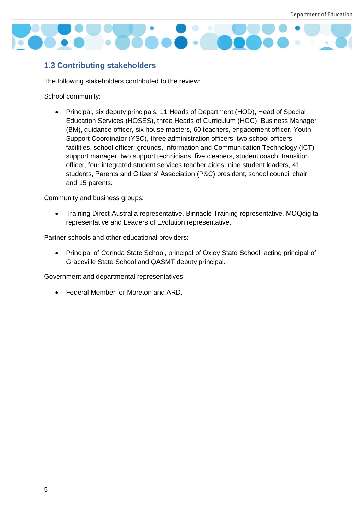

### <span id="page-4-0"></span>**1.3 Contributing stakeholders**

The following stakeholders contributed to the review:

School community:

 Principal, six deputy principals, 11 Heads of Department (HOD), Head of Special Education Services (HOSES), three Heads of Curriculum (HOC), Business Manager (BM), guidance officer, six house masters, 60 teachers, engagement officer, Youth Support Coordinator (YSC), three administration officers, two school officers: facilities, school officer: grounds, Information and Communication Technology (ICT) support manager, two support technicians, five cleaners, student coach, transition officer, four integrated student services teacher aides, nine student leaders, 41 students, Parents and Citizens' Association (P&C) president, school council chair and 15 parents.

Community and business groups:

 Training Direct Australia representative, Binnacle Training representative, MOQdigital representative and Leaders of Evolution representative.

Partner schools and other educational providers:

 Principal of Corinda State School, principal of Oxley State School, acting principal of Graceville State School and QASMT deputy principal.

Government and departmental representatives:

Federal Member for Moreton and ARD.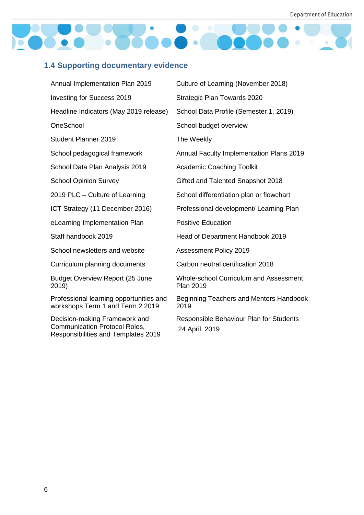

# <span id="page-5-0"></span>**1.4 Supporting documentary evidence**

| Annual Implementation Plan 2019                                                                              | Culture of Learning (November 2018)                               |
|--------------------------------------------------------------------------------------------------------------|-------------------------------------------------------------------|
| <b>Investing for Success 2019</b>                                                                            | Strategic Plan Towards 2020                                       |
| Headline Indicators (May 2019 release)                                                                       | School Data Profile (Semester 1, 2019)                            |
| OneSchool                                                                                                    | School budget overview                                            |
| <b>Student Planner 2019</b>                                                                                  | The Weekly                                                        |
| School pedagogical framework                                                                                 | Annual Faculty Implementation Plans 2019                          |
| School Data Plan Analysis 2019                                                                               | <b>Academic Coaching Toolkit</b>                                  |
| <b>School Opinion Survey</b>                                                                                 | Gifted and Talented Snapshot 2018                                 |
| 2019 PLC - Culture of Learning                                                                               | School differentiation plan or flowchart                          |
| ICT Strategy (11 December 2016)                                                                              | Professional development/ Learning Plan                           |
| eLearning Implementation Plan                                                                                | <b>Positive Education</b>                                         |
| Staff handbook 2019                                                                                          | Head of Department Handbook 2019                                  |
| School newsletters and website                                                                               | <b>Assessment Policy 2019</b>                                     |
| Curriculum planning documents                                                                                | Carbon neutral certification 2018                                 |
| <b>Budget Overview Report (25 June</b><br>2019)                                                              | <b>Whole-school Curriculum and Assessment</b><br><b>Plan 2019</b> |
| Professional learning opportunities and<br>workshops Term 1 and Term 2 2019                                  | Beginning Teachers and Mentors Handbook<br>2019                   |
| Decision-making Framework and<br><b>Communication Protocol Roles,</b><br>Responsibilities and Templates 2019 | Responsible Behaviour Plan for Students<br>24 April, 2019         |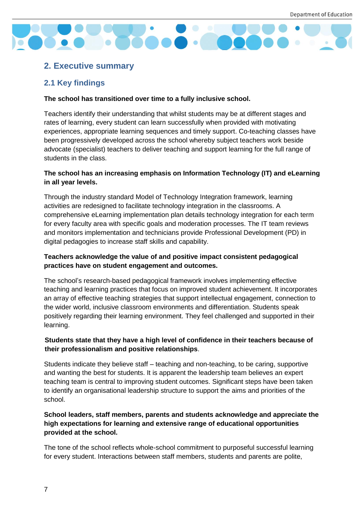

# <span id="page-6-0"></span>**2. Executive summary**

### <span id="page-6-1"></span>**2.1 Key findings**

#### **The school has transitioned over time to a fully inclusive school.**

Teachers identify their understanding that whilst students may be at different stages and rates of learning, every student can learn successfully when provided with motivating experiences, appropriate learning sequences and timely support. Co-teaching classes have been progressively developed across the school whereby subject teachers work beside advocate (specialist) teachers to deliver teaching and support learning for the full range of students in the class.

#### **The school has an increasing emphasis on Information Technology (IT) and eLearning in all year levels.**

Through the industry standard Model of Technology Integration framework, learning activities are redesigned to facilitate technology integration in the classrooms. A comprehensive eLearning implementation plan details technology integration for each term for every faculty area with specific goals and moderation processes. The IT team reviews and monitors implementation and technicians provide Professional Development (PD) in digital pedagogies to increase staff skills and capability.

#### **Teachers acknowledge the value of and positive impact consistent pedagogical practices have on student engagement and outcomes.**

The school's research-based pedagogical framework involves implementing effective teaching and learning practices that focus on improved student achievement. It incorporates an array of effective teaching strategies that support intellectual engagement, connection to the wider world, inclusive classroom environments and differentiation. Students speak positively regarding their learning environment. They feel challenged and supported in their learning.

#### **Students state that they have a high level of confidence in their teachers because of their professionalism and positive relationships**.

Students indicate they believe staff – teaching and non-teaching, to be caring, supportive and wanting the best for students. It is apparent the leadership team believes an expert teaching team is central to improving student outcomes. Significant steps have been taken to identify an organisational leadership structure to support the aims and priorities of the school.

#### **School leaders, staff members, parents and students acknowledge and appreciate the high expectations for learning and extensive range of educational opportunities provided at the school.**

The tone of the school reflects whole-school commitment to purposeful successful learning for every student. Interactions between staff members, students and parents are polite,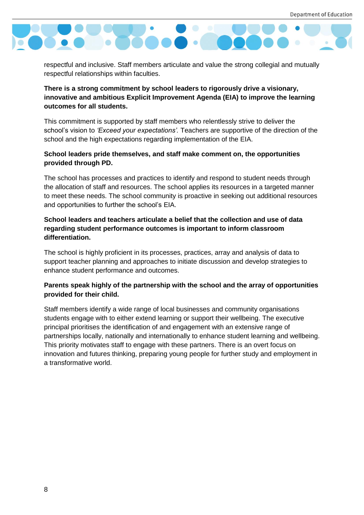

respectful and inclusive. Staff members articulate and value the strong collegial and mutually respectful relationships within faculties.

**There is a strong commitment by school leaders to rigorously drive a visionary, innovative and ambitious Explicit Improvement Agenda (EIA) to improve the learning outcomes for all students.**

This commitment is supported by staff members who relentlessly strive to deliver the school's vision to *'Exceed your expectations'.* Teachers are supportive of the direction of the school and the high expectations regarding implementation of the EIA.

#### **School leaders pride themselves, and staff make comment on, the opportunities provided through PD.**

The school has processes and practices to identify and respond to student needs through the allocation of staff and resources. The school applies its resources in a targeted manner to meet these needs. The school community is proactive in seeking out additional resources and opportunities to further the school's EIA.

#### **School leaders and teachers articulate a belief that the collection and use of data regarding student performance outcomes is important to inform classroom differentiation.**

The school is highly proficient in its processes, practices, array and analysis of data to support teacher planning and approaches to initiate discussion and develop strategies to enhance student performance and outcomes.

#### **Parents speak highly of the partnership with the school and the array of opportunities provided for their child.**

Staff members identify a wide range of local businesses and community organisations students engage with to either extend learning or support their wellbeing. The executive principal prioritises the identification of and engagement with an extensive range of partnerships locally, nationally and internationally to enhance student learning and wellbeing. This priority motivates staff to engage with these partners. There is an overt focus on innovation and futures thinking, preparing young people for further study and employment in a transformative world.